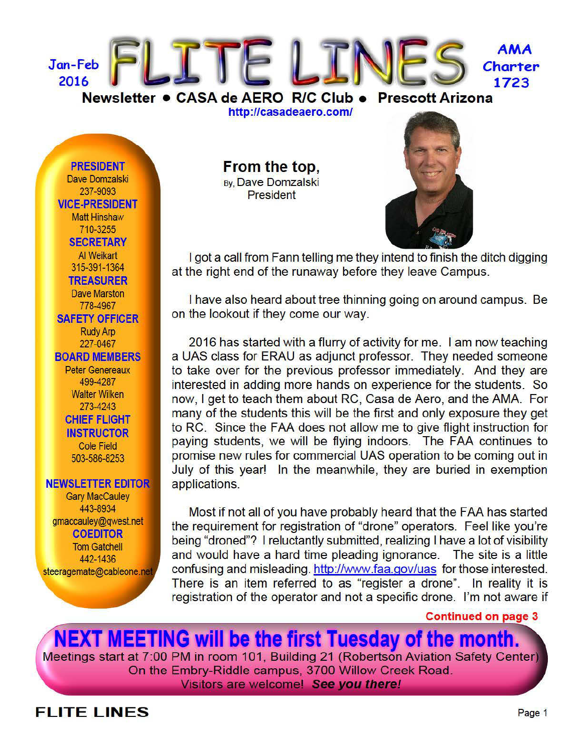

http://casadeaero.com/

**PRESIDENT** Dave Domzalski 237-9093 **VICE-PRESIDENT Matt Hinshaw** 710-3255 **SECRETARY** Al Weikart 315-391-1364 **TREASURER Dave Marston** 778-4967 **SAFETY OFFICER Rudy Arp** 227-0467 **BOARD MEMBERS Peter Genereaux** 499-4287 **Walter Wilken** 273-4243 **CHIEF FLIGHT INSTRUCTOR Cole Field** 503-586-8253

#### **NEWSLETTER EDITOR**

**Gary MacCauley** 443-8934 gmaccauley@gwest.net **COEDITOR Tom Gatchell** 442-1436 steeragemate@cableone.net From the top, By, Dave Domzalski **President** 



I got a call from Fann telling me they intend to finish the ditch digging at the right end of the runaway before they leave Campus.

I have also heard about tree thinning going on around campus. Be on the lookout if they come our way.

2016 has started with a flurry of activity for me. I am now teaching a UAS class for ERAU as adjunct professor. They needed someone to take over for the previous professor immediately. And they are interested in adding more hands on experience for the students. So now, I get to teach them about RC, Casa de Aero, and the AMA. For many of the students this will be the first and only exposure they get to RC. Since the FAA does not allow me to give flight instruction for paying students, we will be flying indoors. The FAA continues to promise new rules for commercial UAS operation to be coming out in July of this year! In the meanwhile, they are buried in exemption applications.

Most if not all of you have probably heard that the FAA has started the requirement for registration of "drone" operators. Feel like you're being "droned"? I reluctantly submitted, realizing I have a lot of visibility and would have a hard time pleading ignorance. The site is a little confusing and misleading. http://www.faa.gov/uas\_for\_those\_interested. There is an item referred to as "register a drone". In reality it is registration of the operator and not a specific drone. I'm not aware if

**Continued on page 3** 

**NEXT MEETING will be the first Tuesday of the month.** Meetings start at 7:00 PM in room 101, Building 21 (Robertson Aviation Safety Center) On the Embry-Riddle campus, 3700 Willow Creek Road. Visitors are welcome! See you there!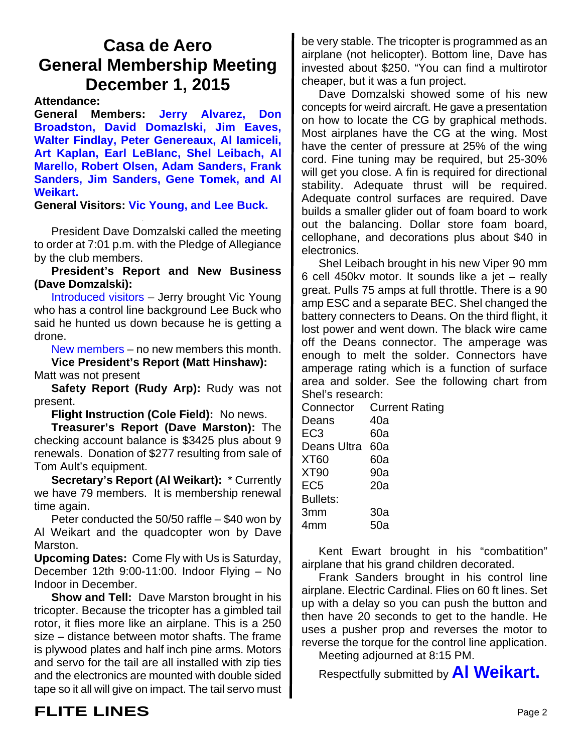# **Casa de Aero General Membership Meeting December 1, 2015**

**Attendance:**

**General Members: Jerry Alvarez, Don Broadston, David Domazlski, Jim Eaves, Walter Findlay, Peter Genereaux, Al Iamiceli, Art Kaplan, Earl LeBlanc, Shel Leibach, Al Marello, Robert Olsen, Adam Sanders, Frank Sanders, Jim Sanders, Gene Tomek, and Al Weikart.**

**General Visitors: Vic Young, and Lee Buck.**

President Dave Domzalski called the meeting to order at 7:01 p.m. with the Pledge of Allegiance by the club members.

**President's Report and New Business (Dave Domzalski):**

Introduced visitors – Jerry brought Vic Young who has a control line background Lee Buck who said he hunted us down because he is getting a drone.

New members – no new members this month. **Vice President's Report (Matt Hinshaw):**

Matt was not present

**Safety Report (Rudy Arp):** Rudy was not present.

**Flight Instruction (Cole Field):** No news.

**Treasurer's Report (Dave Marston):** The checking account balance is \$3425 plus about 9 renewals. Donation of \$277 resulting from sale of Tom Ault's equipment.

**Secretary's Report (Al Weikart):** \* Currently we have 79 members. It is membership renewal time again.

Peter conducted the 50/50 raffle – \$40 won by Al Weikart and the quadcopter won by Dave Marston.

**Upcoming Dates:** Come Fly with Us is Saturday, December 12th 9:00-11:00. Indoor Flying – No Indoor in December.

**Show and Tell:** Dave Marston brought in his tricopter. Because the tricopter has a gimbled tail rotor, it flies more like an airplane. This is a 250 size – distance between motor shafts. The frame is plywood plates and half inch pine arms. Motors and servo for the tail are all installed with zip ties and the electronics are mounted with double sided tape so it all will give on impact. The tail servo must

be very stable. The tricopter is programmed as an airplane (not helicopter). Bottom line, Dave has invested about \$250. "You can find a multirotor cheaper, but it was a fun project.

Dave Domzalski showed some of his new concepts for weird aircraft. He gave a presentation on how to locate the CG by graphical methods. Most airplanes have the CG at the wing. Most have the center of pressure at 25% of the wing cord. Fine tuning may be required, but 25-30% will get you close. A fin is required for directional stability. Adequate thrust will be required. Adequate control surfaces are required. Dave builds a smaller glider out of foam board to work out the balancing. Dollar store foam board, cellophane, and decorations plus about \$40 in electronics.

Shel Leibach brought in his new Viper 90 mm 6 cell 450kv motor. It sounds like a jet – really great. Pulls 75 amps at full throttle. There is a 90 amp ESC and a separate BEC. Shel changed the battery connecters to Deans. On the third flight, it lost power and went down. The black wire came off the Deans connector. The amperage was enough to melt the solder. Connectors have amperage rating which is a function of surface area and solder. See the following chart from Shel's research:

Connector Current Rating Deans 40a EC3 60a Deans Ultra 60a XT60 60a XT90 90a EC5 20a Bullets: 3mm 30a 4mm 50a

Kent Ewart brought in his "combatition" airplane that his grand children decorated.

Frank Sanders brought in his control line airplane. Electric Cardinal. Flies on 60 ft lines. Set up with a delay so you can push the button and then have 20 seconds to get to the handle. He uses a pusher prop and reverses the motor to reverse the torque for the control line application.

Meeting adjourned at 8:15 PM.

Respectfully submitted by **Al Weikart.**

# **FLITE LINES** Page 2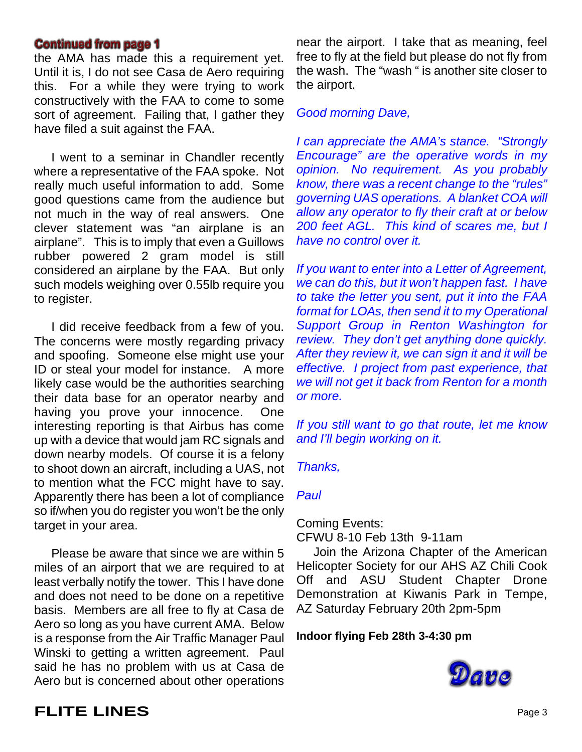#### **Continued from page 1**

the AMA has made this a requirement yet. Until it is, I do not see Casa de Aero requiring this. For a while they were trying to work constructively with the FAA to come to some sort of agreement. Failing that, I gather they have filed a suit against the FAA.

I went to a seminar in Chandler recently where a representative of the FAA spoke. Not really much useful information to add. Some good questions came from the audience but not much in the way of real answers. One clever statement was "an airplane is an airplane". This is to imply that even a Guillows rubber powered 2 gram model is still considered an airplane by the FAA. But only such models weighing over 0.55lb require you to register.

I did receive feedback from a few of you. The concerns were mostly regarding privacy and spoofing. Someone else might use your ID or steal your model for instance. A more likely case would be the authorities searching their data base for an operator nearby and having you prove your innocence. One interesting reporting is that Airbus has come up with a device that would jam RC signals and down nearby models. Of course it is a felony to shoot down an aircraft, including a UAS, not to mention what the FCC might have to say. Apparently there has been a lot of compliance so if/when you do register you won't be the only target in your area.

Please be aware that since we are within 5 miles of an airport that we are required to at least verbally notify the tower. This I have done and does not need to be done on a repetitive basis. Members are all free to fly at Casa de Aero so long as you have current AMA. Below is a response from the Air Traffic Manager Paul Winski to getting a written agreement. Paul said he has no problem with us at Casa de Aero but is concerned about other operations

near the airport. I take that as meaning, feel free to fly at the field but please do not fly from the wash. The "wash " is another site closer to the airport.

#### *Good morning Dave,*

*I can appreciate the AMA's stance. "Strongly Encourage" are the operative words in my opinion. No requirement. As you probably know, there was a recent change to the "rules" governing UAS operations. A blanket COA will allow any operator to fly their craft at or below 200 feet AGL. This kind of scares me, but I have no control over it.*

*If you want to enter into a Letter of Agreement, we can do this, but it won't happen fast. I have to take the letter you sent, put it into the FAA format for LOAs, then send it to my Operational Support Group in Renton Washington for review. They don't get anything done quickly. After they review it, we can sign it and it will be effective. I project from past experience, that we will not get it back from Renton for a month or more.*

*If you still want to go that route, let me know and I'll begin working on it.*

#### *Thanks,*

#### *Paul*

Coming Events:

CFWU 8-10 Feb 13th 9-11am

 Join the Arizona Chapter of the American Helicopter Society for our AHS AZ Chili Cook Off and ASU Student Chapter Drone Demonstration at Kiwanis Park in Tempe, AZ Saturday February 20th 2pm-5pm

#### **Indoor flying Feb 28th 3-4:30 pm**



### **FLITE LINES** Page 3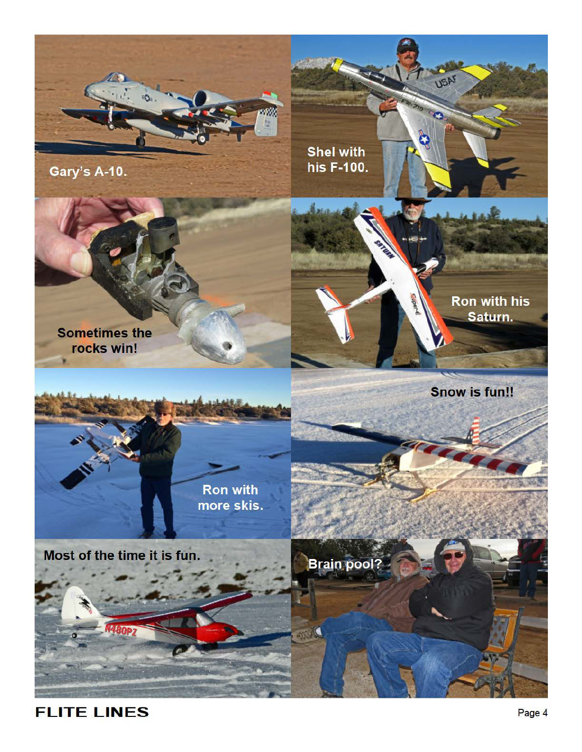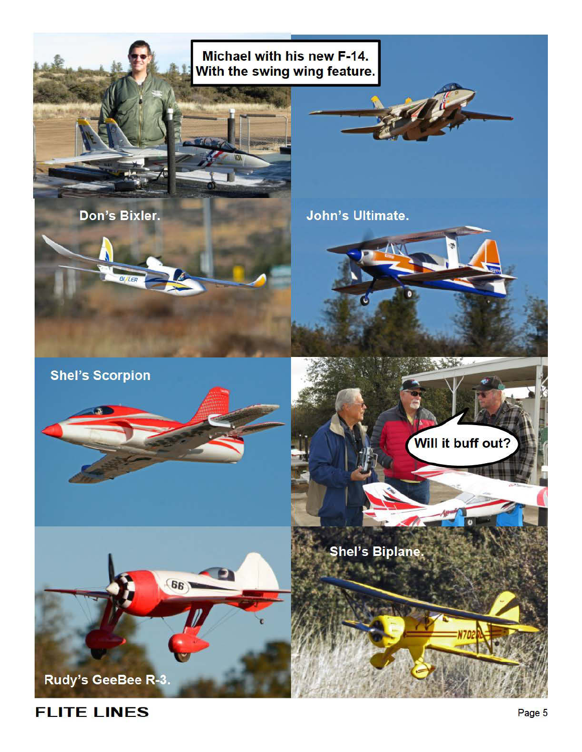